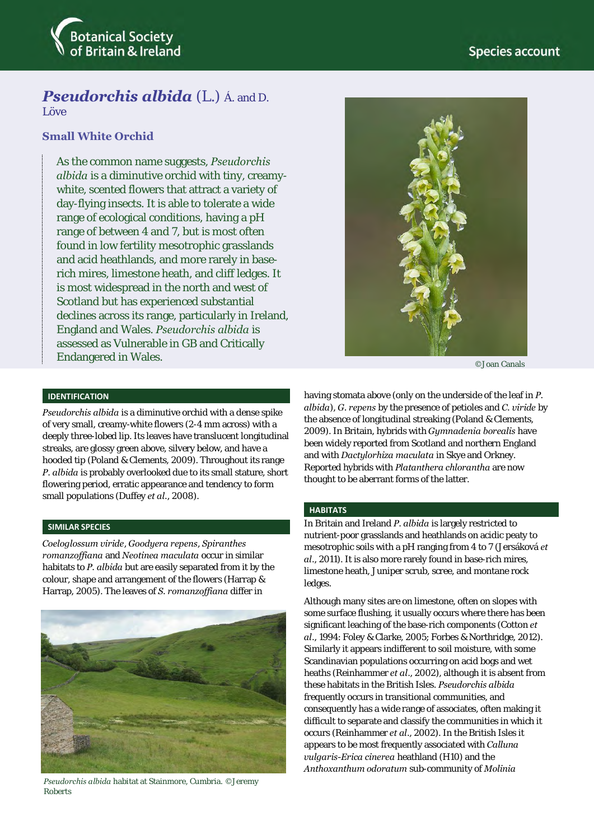

# *Pseudorchis albida* (L.) Á. and D.

Löve

## **Small White Orchid**

As the common name suggests, *Pseudorchis albida* is a diminutive orchid with tiny, creamywhite, scented flowers that attract a variety of day-flying insects. It is able to tolerate a wide range of ecological conditions, having a pH range of between 4 and 7, but is most often found in low fertility mesotrophic grasslands and acid heathlands, and more rarely in baserich mires, limestone heath, and cliff ledges. It is most widespread in the north and west of Scotland but has experienced substantial declines across its range, particularly in Ireland, England and Wales. *Pseudorchis albida* is assessed as Vulnerable in GB and Critically Endangered in Wales.



©Joan Canals

### **IDENTIFICATION**

*Pseudorchis albida* is a diminutive orchid with a dense spike of very small, creamy-white flowers (2-4 mm across) with a deeply three-lobed lip. Its leaves have translucent longitudinal streaks, are glossy green above, silvery below, and have a hooded tip (Poland & Clements, 2009). Throughout its range *P. albida* is probably overlooked due to its small stature, short flowering period, erratic appearance and tendency to form small populations (Duffey *et al.*, 2008).

### **SIMILAR SPECIES**

*Coeloglossum viride*, *Goodyera repens*, *Spiranthes romanzoffiana* and *Neotinea maculata* occur in similar habitats to *P. albida* but are easily separated from it by the colour, shape and arrangement of the flowers (Harrap & Harrap, 2005). The leaves of *S. romanzoffiana* differ in



*Pseudorchis albida* habitat at Stainmore, Cumbria. ©Jeremy Roberts

having stomata above (only on the underside of the leaf in *P. albida*), *G. repens* by the presence of petioles and *C. viride* by the absence of longitudinal streaking (Poland & Clements, 2009). In Britain, hybrids with *Gymnadenia borealis* have been widely reported from Scotland and northern England and with *Dactylorhiza maculata* in Skye and Orkney. Reported hybrids with *Platanthera chlorantha* are now thought to be aberrant forms of the latter.

### **HABITATS**

In Britain and Ireland *P. albida* is largely restricted to nutrient-poor grasslands and heathlands on acidic peaty to mesotrophic soils with a pH ranging from 4 to 7 (Jersáková *et al*., 2011). It is also more rarely found in base-rich mires, limestone heath, Juniper scrub, scree, and montane rock ledges.

Although many sites are on limestone, often on slopes with some surface flushing, it usually occurs where there has been significant leaching of the base-rich components (Cotton *et al*., 1994: Foley & Clarke, 2005; Forbes & Northridge, 2012). Similarly it appears indifferent to soil moisture, with some Scandinavian populations occurring on acid bogs and wet heaths (Reinhammer *et al*., 2002), although it is absent from these habitats in the British Isles. *Pseudorchis albida* frequently occurs in transitional communities, and consequently has a wide range of associates, often making it difficult to separate and classify the communities in which it occurs (Reinhammer *et al*., 2002). In the British Isles it appears to be most frequently associated with *Calluna vulgaris-Erica cinerea* heathland (H10) and the *Anthoxanthum odoratum* sub-community of *Molinia*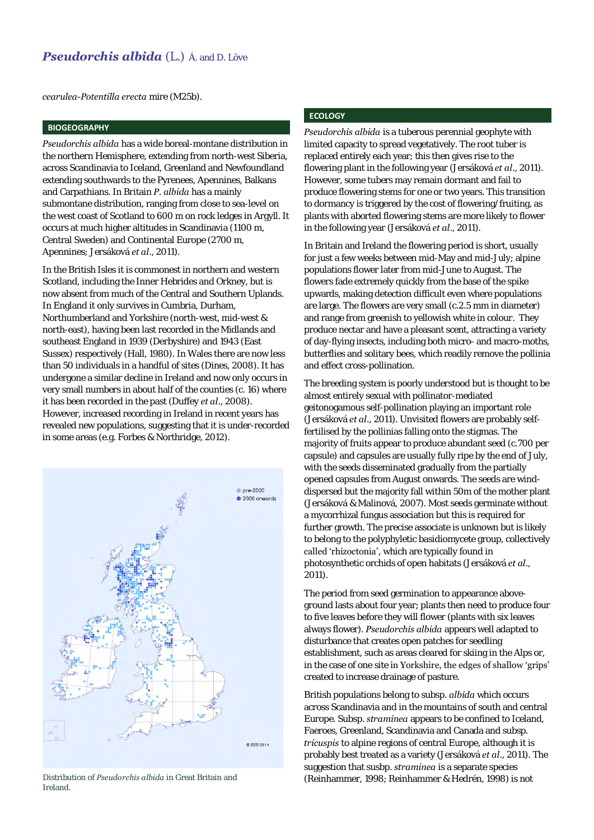*cearulea-Potentilla erecta* mire (M25b).

## **BIOGEOGRAPHY**

*Pseudorchis albida* has a wide boreal-montane distribution in the northern Hemisphere, extending from north-west Siberia, across Scandinavia to Iceland, Greenland and Newfoundland extending southwards to the Pyrenees, Apennines, Balkans and Carpathians. In Britain *P. albida* has a mainly submontane distribution, ranging from close to sea-level on the west coast of Scotland to 600 m on rock ledges in Argyll. It occurs at much higher altitudes in Scandinavia (1100 m, Central Sweden) and Continental Europe (2700 m, Apennines; Jersáková *et al*., 2011).

In the British Isles it is commonest in northern and western Scotland, including the Inner Hebrides and Orkney, but is now absent from much of the Central and Southern Uplands. In England it only survives in Cumbria, Durham, Northumberland and Yorkshire (north-west, mid-west & north-east), having been last recorded in the Midlands and southeast England in 1939 (Derbyshire) and 1943 (East Sussex) respectively (Hall, 1980). In Wales there are now less than 50 individuals in a handful of sites (Dines, 2008). It has undergone a similar decline in Ireland and now only occurs in very small numbers in about half of the counties (c. 16) where it has been recorded in the past (Duffey *et al*., 2008). However, increased recording in Ireland in recent years has revealed new populations, suggesting that it is under-recorded in some areas (e.g. Forbes & Northridge, 2012).



Ireland.

## **ECOLOGY**

*Pseudorchis albida* is a tuberous perennial geophyte with limited capacity to spread vegetatively. The root tuber is replaced entirely each year; this then gives rise to the flowering plant in the following year (Jersáková *et al*., 2011). However, some tubers may remain dormant and fail to produce flowering stems for one or two years. This transition to dormancy is triggered by the cost of flowering/fruiting, as plants with aborted flowering stems are more likely to flower in the following year (Jersáková *et al*., 2011).

In Britain and Ireland the flowering period is short, usually for just a few weeks between mid-May and mid-July; alpine populations flower later from mid-June to August. The flowers fade extremely quickly from the base of the spike upwards, making detection difficult even where populations are large. The flowers are very small (c.2.5 mm in diameter) and range from greenish to yellowish white in colour. They produce nectar and have a pleasant scent, attracting a variety of day-flying insects, including both micro- and macro-moths, butterflies and solitary bees, which readily remove the pollinia and effect cross-pollination.

The breeding system is poorly understood but is thought to be almost entirely sexual with pollinator-mediated geitonogamous self-pollination playing an important role (Jersáková *et al*., 2011). Unvisited flowers are probably selffertilised by the pollinias falling onto the stigmas. The majority of fruits appear to produce abundant seed (c.700 per capsule) and capsules are usually fully ripe by the end of July, with the seeds disseminated gradually from the partially opened capsules from August onwards. The seeds are winddispersed but the majority fall within 50m of the mother plant (Jersáková & Malinová, 2007). Most seeds germinate without a mycorrhizal fungus association but this is required for further growth. The precise associate is unknown but is likely to belong to the polyphyletic basidiomycete group, collectively called 'rhizoctonia', which are typically found in photosynthetic orchids of open habitats (Jersáková *et al*., 2011).

The period from seed germination to appearance aboveground lasts about four year; plants then need to produce four to five leaves before they will flower (plants with six leaves always flower). *Pseudorchis albida* appears well adapted to disturbance that creates open patches for seedling establishment, such as areas cleared for skiing in the Alps or, in the case of one site in Yorkshire, the edges of shallow 'grips' created to increase drainage of pasture.

British populations belong to subsp. *albida* which occurs across Scandinavia and in the mountains of south and central Europe. Subsp. *straminea* appears to be confined to Iceland, Faeroes, Greenland, Scandinavia and Canada and subsp. *tricuspis* to alpine regions of central Europe, although it is probably best treated as a variety (Jersáková *et al*., 2011). The suggestion that susbp. *straminea* is a separate species Distribution of *Pseudorchis albida* in Great Britain and **Franklines** (Reinhammer, 1998; Reinhammer & Hedrén, 1998) is not